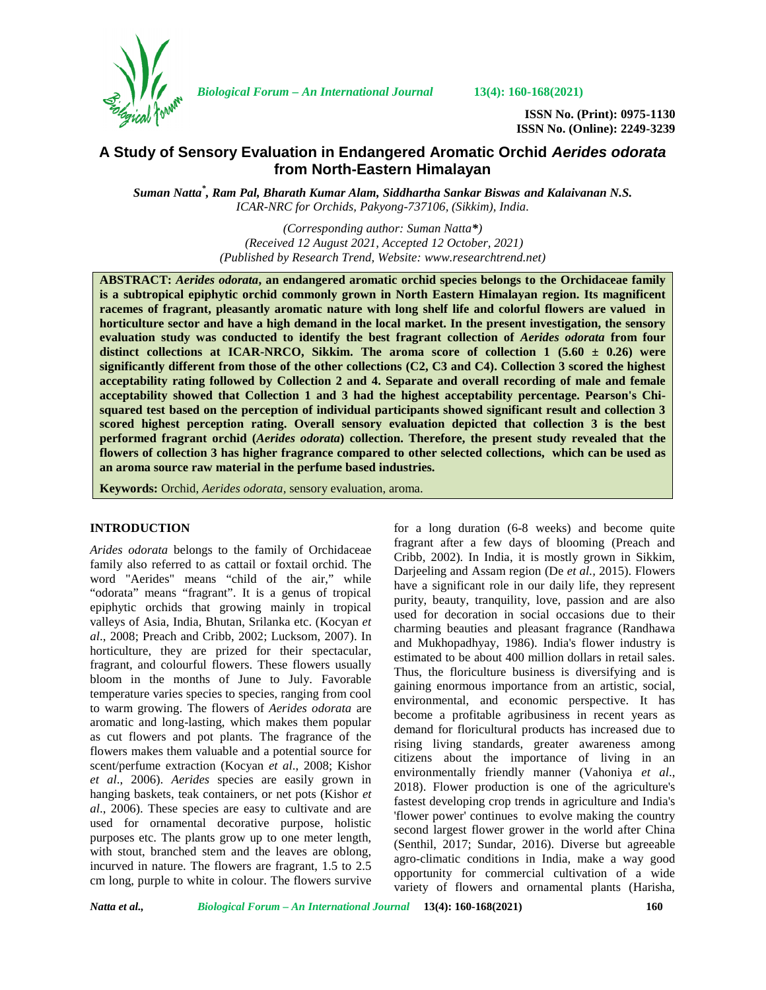

*Biological Forum – An International Journal* **13(4): 160-168(2021)**

**ISSN No. (Print): 0975-1130 ISSN No. (Online): 2249-3239**

# **A Study of Sensory Evaluation in Endangered Aromatic Orchid** *Aerides odorata* **from North-Eastern Himalayan**

*Suman Natta\* , Ram Pal, Bharath Kumar Alam, Siddhartha Sankar Biswas and Kalaivanan N.S. ICAR-NRC for Orchids, Pakyong-737106, (Sikkim), India.*

> *(Corresponding author: Suman Natta\*) (Received 12 August 2021, Accepted 12 October, 2021) (Published by Research Trend, Website: [www.researchtrend.net\)](www.researchtrend.net)*

**ABSTRACT:** *Aerides odorata***, an endangered aromatic orchid species belongs to the Orchidaceae family is a subtropical epiphytic orchid commonly grown in North Eastern Himalayan region. Its magnificent racemes of fragrant, pleasantly aromatic nature with long shelf life and colorful flowers are valued in horticulture sector and have a high demand in the local market. In the present investigation, the sensory evaluation study was conducted to identify the best fragrant collection of** *Aerides odorata* **from four distinct collections at ICAR-NRCO, Sikkim. The aroma score of collection 1 (5.60 ± 0.26) were significantly different from those of the other collections (C2, C3 and C4). Collection 3 scored the highest acceptability rating followed by Collection 2 and 4. Separate and overall recording of male and female acceptability showed that Collection 1 and 3 had the highest acceptability percentage. Pearson's Chi squared test based on the perception of individual participants showed significant result and collection 3 scored highest perception rating. Overall sensory evaluation depicted that collection 3 is the best performed fragrant orchid (***Aerides odorata***) collection. Therefore, the present study revealed that the flowers of collection 3 has higher fragrance compared to other selected collections, which can be used as an aroma source raw material in the perfume based industries.**

**Keywords:** Orchid, *Aerides odorata,* sensory evaluation, aroma.

#### **INTRODUCTION**

*Arides odorata* belongs to the family of Orchidaceae family also referred to as cattail or foxtail orchid. The word "Aerides" means "child of the air," while "odorata" means "fragrant". It is a genus of tropical epiphytic orchids that growing mainly in tropical valleys of Asia, India, Bhutan, Srilanka etc. (Kocyan *et al*., 2008; Preach and Cribb, 2002; Lucksom, 2007). In horticulture, they are prized for their spectacular, fragrant, and colourful flowers. These flowers usually bloom in the months of June to July. Favorable temperature varies species to species, ranging from cool to warm growing. The flowers of *Aerides odorata* are aromatic and long-lasting, which makes them popular as cut flowers and pot plants. The fragrance of the flowers makes them valuable and a potential source for scent/perfume extraction (Kocyan *et al*., 2008; Kishor *et al*., 2006). *Aerides* species are easily grown in hanging baskets, teak containers, or net pots (Kishor *et al*., 2006). These species are easy to cultivate and are used for ornamental decorative purpose, holistic purposes etc. The plants grow up to one meter length, with stout, branched stem and the leaves are oblong, incurved in nature. The flowers are fragrant, 1.5 to 2.5 cm long, purple to white in colour. The flowers survive

for a long duration (6-8 weeks) and become quite fragrant after a few days of blooming (Preach and Cribb, 2002). In India, it is mostly grown in Sikkim, Darjeeling and Assam region (De *et al.,* 2015). Flowers have a significant role in our daily life, they represent purity, beauty, tranquility, love, passion and are also used for decoration in social occasions due to their charming beauties and pleasant fragrance (Randhawa and Mukhopadhyay, 1986). India's flower industry is estimated to be about 400 million dollars in retail sales. Thus, the floriculture business is diversifying and is gaining enormous importance from an artistic, social, environmental, and economic perspective. It has become a profitable agribusiness in recent years as demand for floricultural products has increased due to rising living standards, greater awareness among citizens about the importance of living in an environmentally friendly manner (Vahoniya *et al*., 2018). Flower production is one of the agriculture's fastest developing crop trends in agriculture and India's 'flower power' continues to evolve making the country second largest flower grower in the world after China (Senthil, 2017; Sundar, 2016). Diverse but agreeable agro-climatic conditions in India, make a way good opportunity for commercial cultivation of a wide variety of flowers and ornamental plants (Harisha,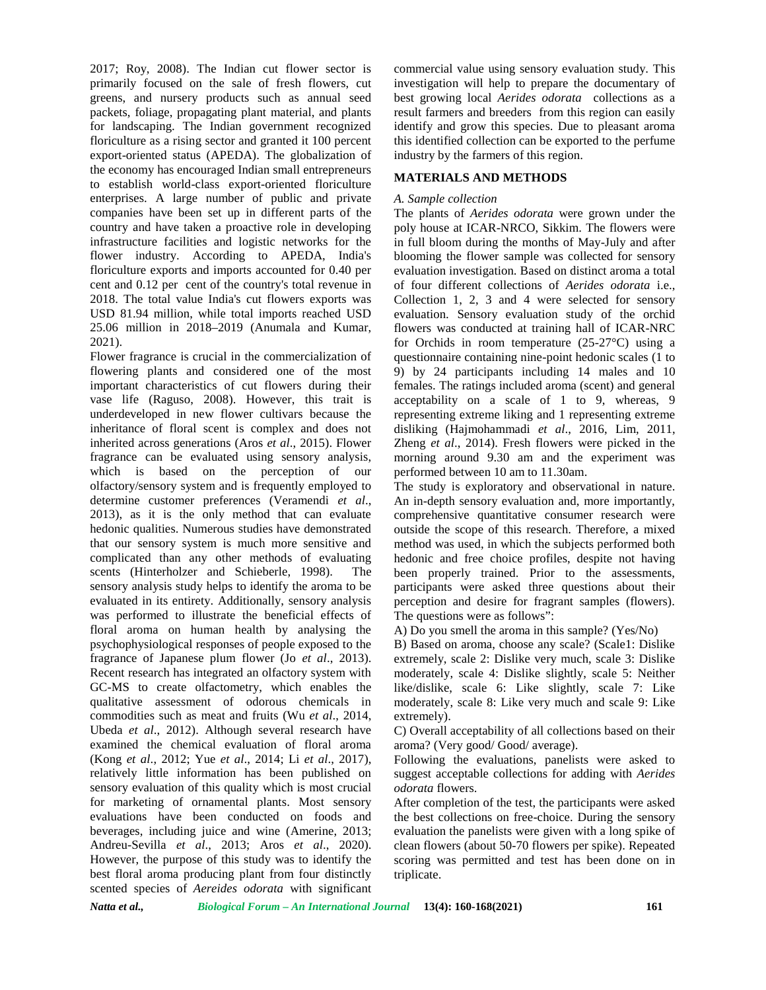2017; Roy, 2008). The Indian cut flower sector is primarily focused on the sale of fresh flowers, cut greens, and nursery products such as annual seed packets, foliage, propagating plant material, and plants for landscaping. The Indian government recognized floriculture as a rising sector and granted it 100 percent export-oriented status (APEDA). The globalization of the economy has encouraged Indian small entrepreneurs to establish world-class export-oriented floriculture enterprises. A large number of public and private companies have been set up in different parts of the country and have taken a proactive role in developing infrastructure facilities and logistic networks for the flower industry. According to APEDA, India's floriculture exports and imports accounted for 0.40 per cent and 0.12 per cent of the country's total revenue in 2018. The total value India's cut flowers exports was USD 81.94 million, while total imports reached USD 25.06 million in 2018–2019 (Anumala and Kumar, 2021).

Flower fragrance is crucial in the commercialization of flowering plants and considered one of the most important characteristics of cut flowers during their vase life (Raguso, 2008). However, this trait is underdeveloped in new flower cultivars because the inheritance of floral scent is complex and does not inherited across generations (Aros *et al*., 2015). Flower fragrance can be evaluated using sensory analysis, which is based on the perception of our olfactory/sensory system and is frequently employed to determine customer preferences (Veramendi *et al*., 2013), as it is the only method that can evaluate hedonic qualities. Numerous studies have demonstrated that our sensory system is much more sensitive and complicated than any other methods of evaluating scents (Hinterholzer and Schieberle, 1998). The sensory analysis study helps to identify the aroma to be evaluated in its entirety. Additionally, sensory analysis was performed to illustrate the beneficial effects of floral aroma on human health by analysing the psychophysiological responses of people exposed to the fragrance of Japanese plum flower (Jo *et al*., 2013). Recent research has integrated an olfactory system with GC-MS to create olfactometry, which enables the qualitative assessment of odorous chemicals in commodities such as meat and fruits (Wu *et al*., 2014, Ubeda *et al*., 2012). Although several research have examined the chemical evaluation of floral aroma (Kong *et al*., 2012; Yue *et al*., 2014; Li *et al*., 2017), relatively little information has been published on sensory evaluation of this quality which is most crucial for marketing of ornamental plants. Most sensory evaluations have been conducted on foods and beverages, including juice and wine (Amerine, 2013; Andreu-Sevilla *et al*., 2013; Aros *et al*., 2020). However, the purpose of this study was to identify the best floral aroma producing plant from four distinctly scented species of *Aereides odorata* with significant

commercial value using sensory evaluation study. This investigation will help to prepare the documentary of best growing local *Aerides odorata* collections as a result farmers and breeders from this region can easily identify and grow this species. Due to pleasant aroma this identified collection can be exported to the perfume industry by the farmers of this region.

## **MATERIALS AND METHODS**

#### *A. Sample collection*

The plants of *Aerides odorata* were grown under the poly house at ICAR-NRCO, Sikkim. The flowers were in full bloom during the months of May-July and after blooming the flower sample was collected for sensory evaluation investigation. Based on distinct aroma a total of four different collections of *Aerides odorata* i.e., Collection 1, 2, 3 and 4 were selected for sensory evaluation. Sensory evaluation study of the orchid flowers was conducted at training hall of ICAR-NRC for Orchids in room temperature (25-27°C) using a questionnaire containing nine-point hedonic scales (1 to 9) by 24 participants including 14 males and 10 females. The ratings included aroma (scent) and general acceptability on a scale of 1 to 9, whereas, 9 representing extreme liking and 1 representing extreme disliking (Hajmohammadi *et al*., 2016, Lim, 2011, Zheng *et al*., 2014). Fresh flowers were picked in the morning around 9.30 am and the experiment was performed between 10 am to 11.30am.

The study is exploratory and observational in nature. An in-depth sensory evaluation and, more importantly, comprehensive quantitative consumer research were outside the scope of this research. Therefore, a mixed method was used, in which the subjects performed both hedonic and free choice profiles, despite not having been properly trained. Prior to the assessments, participants were asked three questions about their perception and desire for fragrant samples (flowers). The questions were as follows":

A) Do you smell the aroma in this sample? (Yes/No)

B) Based on aroma, choose any scale? (Scale1: Dislike extremely, scale 2: Dislike very much, scale 3: Dislike moderately, scale 4: Dislike slightly, scale 5: Neither like/dislike, scale 6: Like slightly, scale 7: Like moderately, scale 8: Like very much and scale 9: Like extremely).

C) Overall acceptability of all collections based on their aroma? (Very good/ Good/ average).

Following the evaluations, panelists were asked to suggest acceptable collections for adding with *Aerides odorata* flowers.

After completion of the test, the participants were asked the best collections on free-choice. During the sensory evaluation the panelists were given with a long spike of clean flowers (about 50-70 flowers per spike). Repeated scoring was permitted and test has been done on in triplicate.

*Natta et al., Biological Forum – An International Journal* **13(4): 160-168(2021) 161**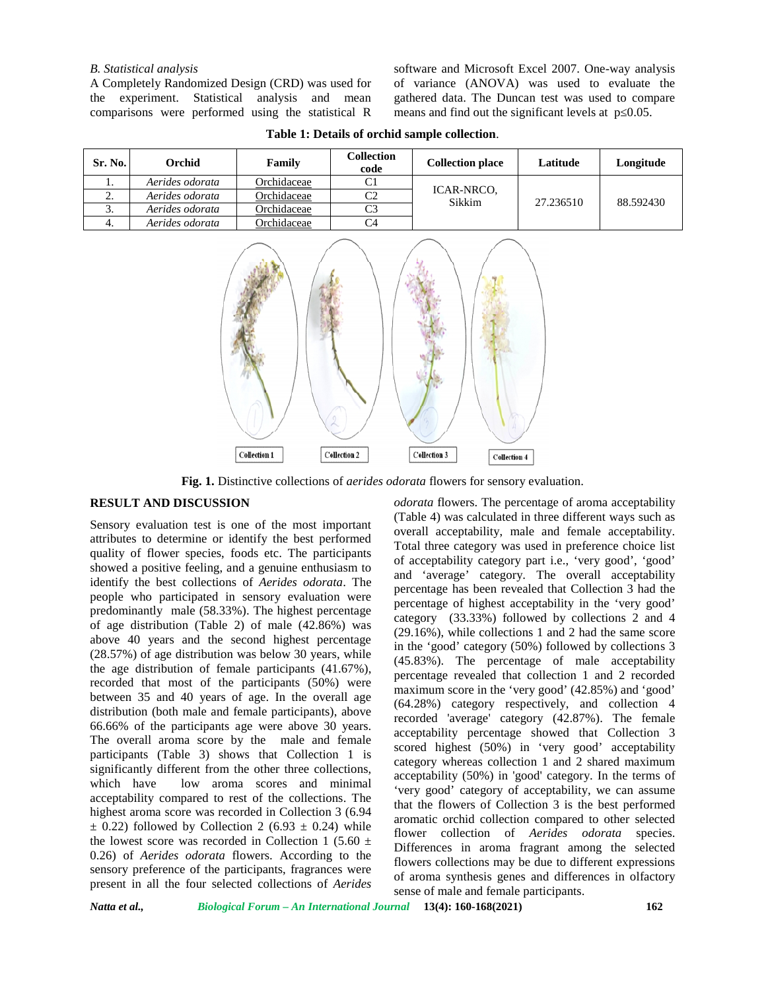#### *B. Statistical analysis*

A Completely Randomized Design (CRD) was used for the experiment. Statistical analysis and mean comparisons were performed using the statistical R software and Microsoft Excel 2007. One-way analysis of variance (ANOVA) was used to evaluate the gathered data. The Duncan test was used to compare means and find out the significant levels at  $p = 0.05$ .

| Sr. No. | Orchid          | Family      | Collection<br>code | <b>Collection place</b> | Latitude  | Longitude |
|---------|-----------------|-------------|--------------------|-------------------------|-----------|-----------|
|         | Aerides odorata | Orchidaceae | C <sub>1</sub>     |                         |           |           |
| ۷.      | Aerides odorata | Orchidaceae | C2                 | ICAR-NRCO.<br>Sikkim    | 27.236510 | 88.592430 |
| J.      | Aerides odorata | Orchidaceae | C3                 |                         |           |           |
|         | Aerides odorata | Orchidaceae | C4                 |                         |           |           |

**Table 1: Details of orchid sample collection**.



**Fig. 1.** Distinctive collections of *aerides odorata* flowers for sensory evaluation.

# **RESULT AND DISCUSSION**

Sensory evaluation test is one of the most important attributes to determine or identify the best performed quality of flower species, foods etc. The participants showed a positive feeling, and a genuine enthusiasm to identify the best collections of *Aerides odorata*. The people who participated in sensory evaluation were predominantly male (58.33%). The highest percentage of age distribution (Table 2) of male (42.86%) was above 40 years and the second highest percentage (28.57%) of age distribution was below 30 years, while the age distribution of female participants (41.67%), recorded that most of the participants (50%) were between 35 and 40 years of age. In the overall age distribution (both male and female participants), above 66.66% of the participants age were above 30 years. The overall aroma score by the male and female participants (Table 3) shows that Collection 1 is significantly different from the other three collections, which have low aroma scores and minimal acceptability compared to rest of the collections. The highest aroma score was recorded in Collection 3 (6.94  $\pm$  0.22) followed by Collection 2 (6.93  $\pm$  0.24) while the lowest score was recorded in Collection 1 (5.60  $\pm$ 0.26) of *Aerides odorata* flowers. According to the sensory preference of the participants, fragrances were present in all the four selected collections of *Aerides* *odorata* flowers. The percentage of aroma acceptability (Table 4) was calculated in three different ways such as overall acceptability, male and female acceptability. Total three category was used in preference choice list of acceptability category part i.e., 'very good', 'good' and 'average' category. The overall acceptability percentage has been revealed that Collection 3 had the percentage of highest acceptability in the 'very good' category (33.33%) followed by collections 2 and 4 (29.16%), while collections 1 and 2 had the same score in the 'good' category (50%) followed by collections 3 (45.83%). The percentage of male acceptability percentage revealed that collection 1 and 2 recorded maximum score in the 'very good' (42.85%) and 'good' (64.28%) category respectively, and collection 4 recorded 'average' category (42.87%). The female acceptability percentage showed that Collection 3 scored highest (50%) in 'very good' acceptability category whereas collection 1 and 2 shared maximum acceptability (50%) in 'good' category. In the terms of 'very good' category of acceptability, we can assume that the flowers of Collection 3 is the best performed aromatic orchid collection compared to other selected flower collection of *Aerides odorata* species. Differences in aroma fragrant among the selected flowers collections may be due to different expressions of aroma synthesis genes and differences in olfactory sense of male and female participants.

*Natta et al., Biological Forum – An International Journal* **13(4): 160-168(2021) 162**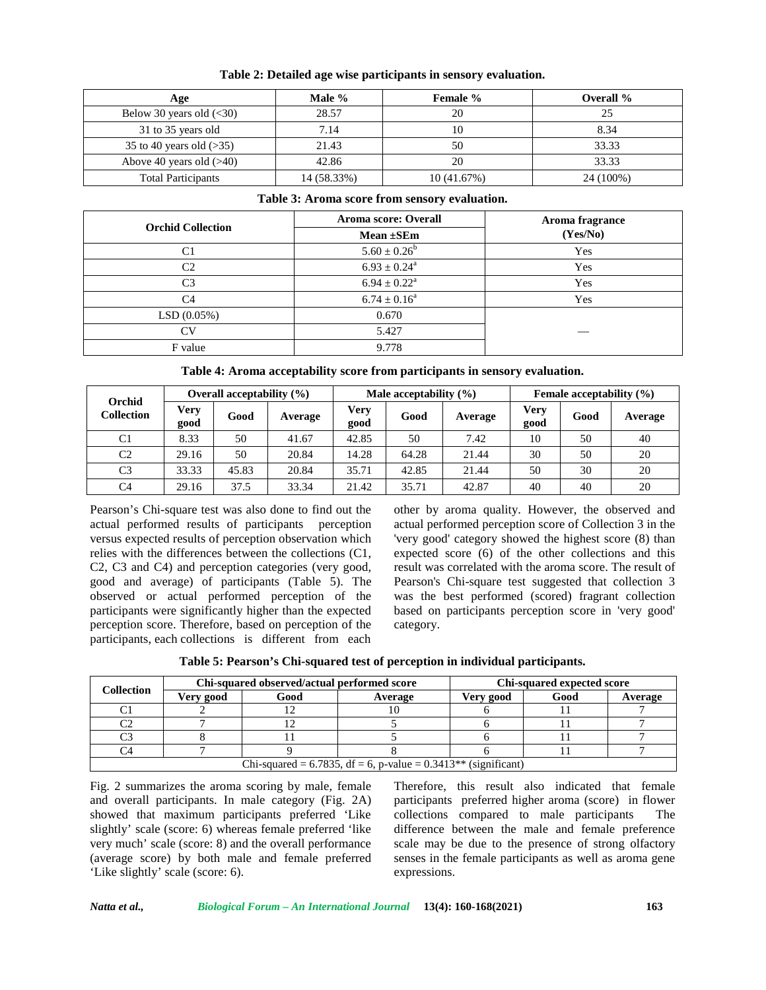| Age                            | Male %      | <b>Female</b> % | Overall % |
|--------------------------------|-------------|-----------------|-----------|
| Below 30 years old $(\leq 30)$ | 28.57       | 20              | 25        |
| 31 to 35 years old             | 7.14        | 10              | 8.34      |
| 35 to 40 years old $(>35)$     | 21.43       | 50              | 33.33     |
| Above 40 years old $(>40)$     | 42.86       | 20              | 33.33     |
| <b>Total Participants</b>      | 14 (58.33%) | 10(41.67%)      | 24 (100%) |

**Table 2: Detailed age wise participants in sensory evaluation.**

#### **Table 3: Aroma score from sensory evaluation.**

| <b>Orchid Collection</b> | Aroma score: Overall       | Aroma fragrance |  |
|--------------------------|----------------------------|-----------------|--|
|                          | Mean $\pm$ SEm             | (Yes/No)        |  |
| C1                       | $5.60 \pm 0.26^b$          | Yes             |  |
| C <sub>2</sub>           | $6.93 \pm 0.24^{\circ}$    | Yes             |  |
| C <sub>3</sub>           | $6.94 \pm 0.22^{\text{a}}$ | Yes             |  |
| C <sub>4</sub>           | $6.74 \pm 0.16^a$          | Yes             |  |
| LSD(0.05%)               | 0.670                      |                 |  |
| CV                       | 5.427                      |                 |  |
| F value                  | 9.778                      |                 |  |

**Table 4: Aroma acceptability score from participants in sensory evaluation.**

| Orchid            | Overall acceptability $(\% )$ |       |         | Male acceptability $(\% )$ |       |         | Female acceptability $(\% )$ |      |         |
|-------------------|-------------------------------|-------|---------|----------------------------|-------|---------|------------------------------|------|---------|
| <b>Collection</b> | Verv<br>good                  | Good  | Average | <b>Very</b><br>good        | Good  | Average | Verv<br>good                 | Good | Average |
| C <sub>1</sub>    | 8.33                          | 50    | 41.67   | 42.85                      | 50    | 7.42    | 10                           | 50   | 40      |
| C <sub>2</sub>    | 29.16                         | 50    | 20.84   | 14.28                      | 64.28 | 21.44   | 30                           | 50   | 20      |
| C <sub>3</sub>    | 33.33                         | 45.83 | 20.84   | 35.71                      | 42.85 | 21.44   | 50                           | 30   | 20      |
| C <sub>4</sub>    | 29.16                         | 37.5  | 33.34   | 21.42                      | 35.71 | 42.87   | 40                           | 40   | 20      |

Pearson's Chi-square test was also done to find out the actual performed results of participants perception versus expected results of perception observation which relies with the differences between the collections (C1, C2, C3 and C4) and perception categories (very good, good and average) of participants (Table 5). The observed or actual performed perception of the participants were significantly higher than the expected perception score. Therefore, based on perception of the participants, each collections is different from each

other by aroma quality. However, the observed and actual performed perception score of Collection 3 in the 'very good' category showed the highest score (8) than expected score (6) of the other collections and this result was correlated with the aroma score. The result of Pearson's Chi-square test suggested that collection 3 was the best performed (scored) fragrant collection based on participants perception score in 'very good' category.

| <b>Collection</b> |           | Chi-squared observed/actual performed score | Chi-squared expected score                                       |           |      |         |
|-------------------|-----------|---------------------------------------------|------------------------------------------------------------------|-----------|------|---------|
|                   | Very good | Good                                        | Average                                                          | Very good | Good | Average |
|                   |           |                                             |                                                                  |           |      |         |
| $\sim$            |           |                                             |                                                                  |           |      |         |
| $\sim$            |           |                                             |                                                                  |           |      |         |
|                   |           |                                             |                                                                  |           |      |         |
|                   |           |                                             | Chi-squared = 6.7835, df = 6, p-value = $0.3413**$ (significant) |           |      |         |

Fig. 2 summarizes the aroma scoring by male, female and overall participants. In male category (Fig. 2A) showed that maximum participants preferred 'Like slightly' scale (score: 6) whereas female preferred 'like very much' scale (score: 8) and the overall performance (average score) by both male and female preferred 'Like slightly' scale (score: 6).

Therefore, this result also indicated that female participants preferred higher aroma (score) in flower collections compared to male participants The difference between the male and female preference scale may be due to the presence of strong olfactory senses in the female participants as well as aroma gene expressions.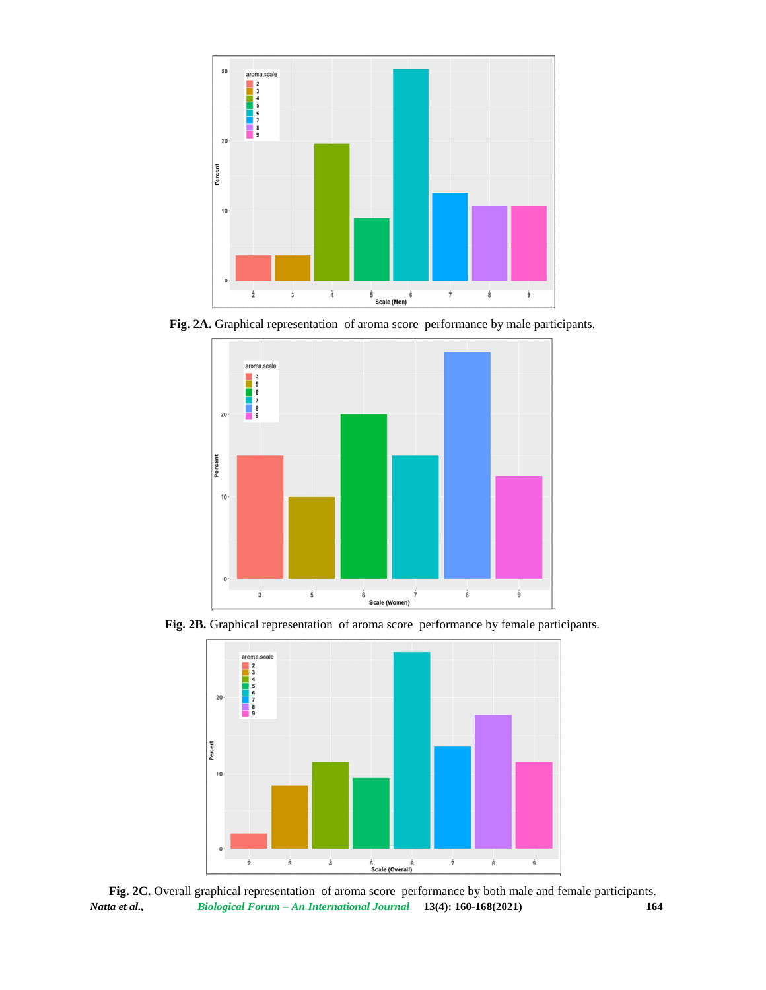

**Fig. 2A.** Graphical representation of aroma score performance by male participants.



**Fig. 2B.** Graphical representation of aroma score performance by female participants.



*Natta et al., Biological Forum – An International Journal* **13(4): 160-168(2021) 164 Fig. 2C.** Overall graphical representation of aroma score performance by both male and female participants.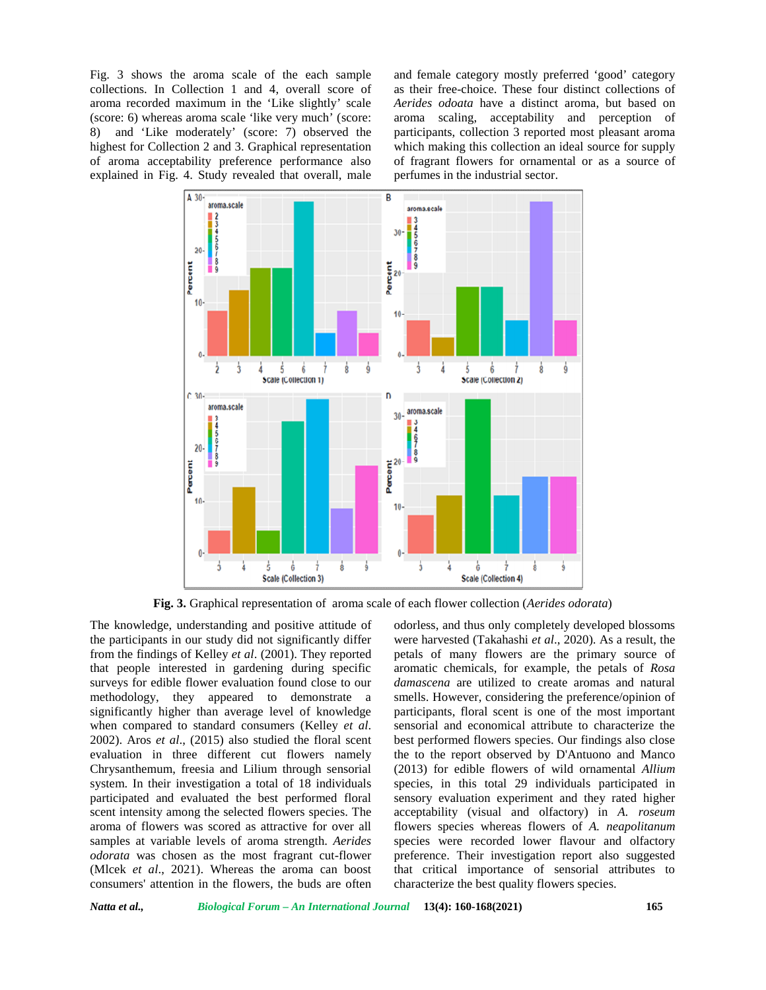Fig. 3 shows the aroma scale of the each sample collections. In Collection 1 and 4, overall score of aroma recorded maximum in the 'Like slightly' scale (score: 6) whereas aroma scale 'like very much' (score: 8) and 'Like moderately' (score: 7) observed the highest for Collection 2 and 3. Graphical representation of aroma acceptability preference performance also explained in Fig. 4. Study revealed that overall, male and female category mostly preferred 'good' category as their free-choice. These four distinct collections of *Aerides odoata* have a distinct aroma, but based on aroma scaling, acceptability and perception of participants, collection 3 reported most pleasant aroma which making this collection an ideal source for supply of fragrant flowers for ornamental or as a source of perfumes in the industrial sector.



**Fig. 3.** Graphical representation of aroma scale of each flower collection (*Aerides odorata*)

The knowledge, understanding and positive attitude of the participants in our study did not significantly differ from the findings of Kelley *et al*. (2001). They reported that people interested in gardening during specific surveys for edible flower evaluation found close to our methodology, they appeared to demonstrate a significantly higher than average level of knowledge when compared to standard consumers (Kelley *et al*. 2002). Aros *et al*., (2015) also studied the floral scent evaluation in three different cut flowers namely Chrysanthemum, freesia and Lilium through sensorial system. In their investigation a total of 18 individuals participated and evaluated the best performed floral scent intensity among the selected flowers species. The aroma of flowers was scored as attractive for over all samples at variable levels of aroma strength. *Aerides odorata* was chosen as the most fragrant cut-flower (Mlcek *et al*., 2021). Whereas the aroma can boost consumers' attention in the flowers, the buds are often

odorless, and thus only completely developed blossoms were harvested (Takahashi *et al*., 2020). As a result, the petals of many flowers are the primary source of aromatic chemicals, for example, the petals of *Rosa damascena* are utilized to create aromas and natural smells. However, considering the preference/opinion of participants, floral scent is one of the most important sensorial and economical attribute to characterize the best performed flowers species. Our findings also close the to the report observed by D'Antuono and Manco (2013) for edible flowers of wild ornamental *Allium* species, in this total 29 individuals participated in sensory evaluation experiment and they rated higher acceptability (visual and olfactory) in *A. roseum* flowers species whereas flowers of *A. neapolitanum* species were recorded lower flavour and olfactory preference. Their investigation report also suggested that critical importance of sensorial attributes to characterize the best quality flowers species.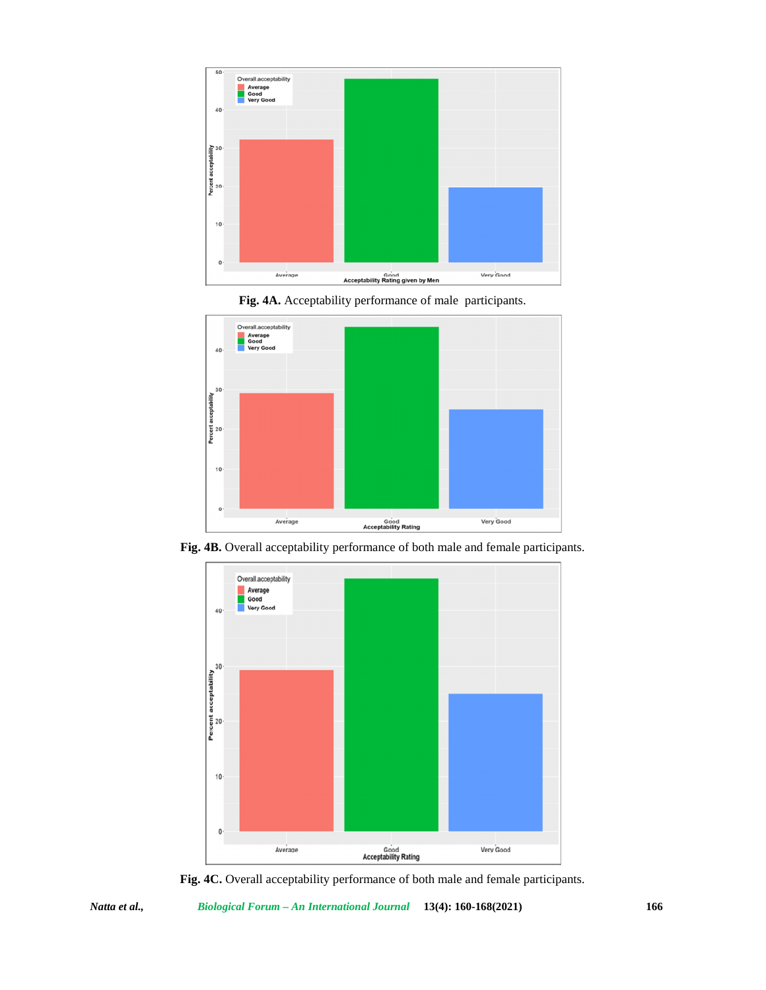





**Fig. 4B.** Overall acceptability performance of both male and female participants.



**Fig. 4C.** Overall acceptability performance of both male and female participants.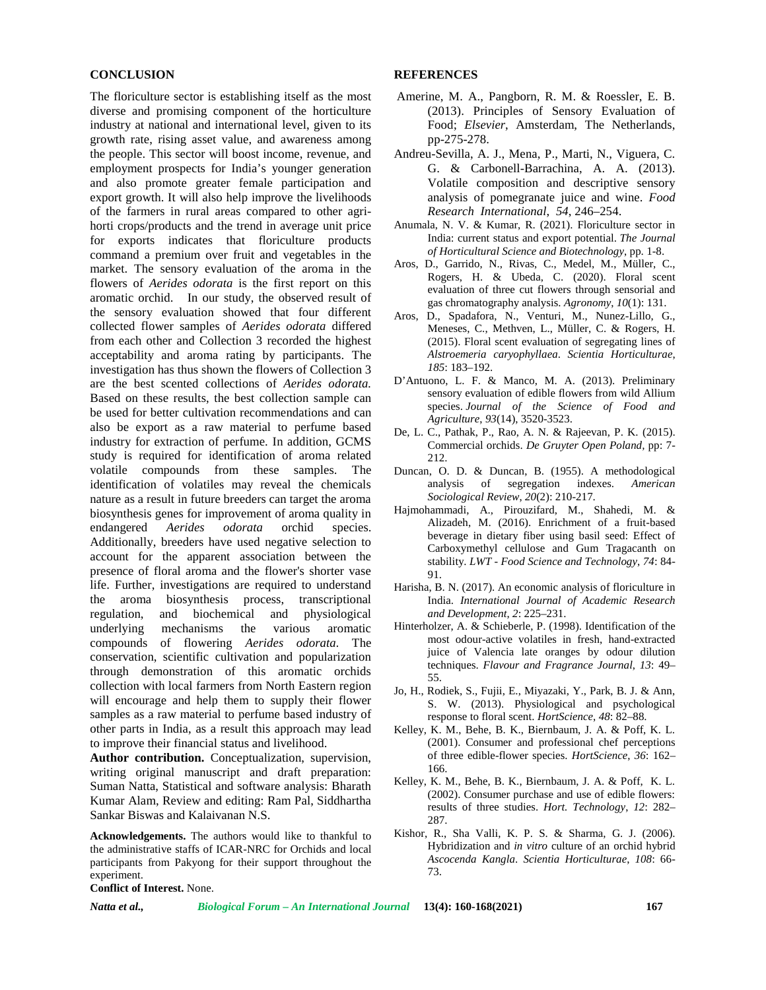### **CONCLUSION**

The floriculture sector is establishing itself as the most diverse and promising component of the horticulture industry at national and international level, given to its growth rate, rising asset value, and awareness among the people. This sector will boost income, revenue, and employment prospects for India's younger generation and also promote greater female participation and export growth. It will also help improve the livelihoods of the farmers in rural areas compared to other agri horti crops/products and the trend in average unit price for exports indicates that floriculture products command a premium over fruit and vegetables in the market. The sensory evaluation of the aroma in the flowers of *Aerides odorata* is the first report on this aromatic orchid. In our study, the observed result of the sensory evaluation showed that four different collected flower samples of *Aerides odorata* differed from each other and Collection 3 recorded the highest acceptability and aroma rating by participants. The investigation has thus shown the flowers of Collection 3 are the best scented collections of *Aerides odorata.* Based on these results, the best collection sample can be used for better cultivation recommendations and can also be export as a raw material to perfume based industry for extraction of perfume. In addition, GCMS study is required for identification of aroma related volatile compounds from these samples. The identification of volatiles may reveal the chemicals nature as a result in future breeders can target the aroma biosynthesis genes for improvement of aroma quality in endangered *Aerides odorata* orchid species. Additionally, breeders have used negative selection to account for the apparent association between the presence of floral aroma and the flower's shorter vase life. Further, investigations are required to understand the aroma biosynthesis process, transcriptional regulation, and biochemical and physiological underlying mechanisms the various aromatic compounds of flowering *Aerides odorata.* The conservation, scientific cultivation and popularization through demonstration of this aromatic orchids collection with local farmers from North Eastern region will encourage and help them to supply their flower samples as a raw material to perfume based industry of other parts in India, as a result this approach may lead to improve their financial status and livelihood.

**Author contribution.** Conceptualization, supervision, writing original manuscript and draft preparation: Suman Natta, Statistical and software analysis: Bharath Kumar Alam, Review and editing: Ram Pal, Siddhartha Sankar Biswas and Kalaivanan N.S.

**Acknowledgements.** The authors would like to thankful to the administrative staffs of ICAR-NRC for Orchids and local participants from Pakyong for their support throughout the experiment.

**Conflict of Interest.** None.

#### **REFERENCES**

- Amerine, M. A., Pangborn, R. M. & Roessler, E. B. (2013). Principles of Sensory Evaluation of Food; *Elsevier*, Amsterdam, The Netherlands, pp-275-278.
- Andreu-Sevilla, A. J., Mena, P., Marti, N., Viguera, C. G. & Carbonell-Barrachina, A. A. (2013). Volatile composition and descriptive sensory analysis of pomegranate juice and wine. *Food Research International*, *54*, 246–254.
- Anumala, N. V. & Kumar, R. (2021). Floriculture sector in India: current status and export potential. *The Journal of Horticultural Science and Biotechnology*, pp. 1-8.
- Aros, D., Garrido, N., Rivas, C., Medel, M., Müller, C., Rogers, H. & Ubeda, C. (2020). Floral scent evaluation of three cut flowers through sensorial and gas chromatography analysis. *Agronomy*, *10*(1): 131.
- Aros, D., Spadafora, N., Venturi, M., Nunez-Lillo, G., Meneses, C., Methven, L., Müller, C. & Rogers, H. (2015). Floral scent evaluation of segregating lines of *Alstroemeria caryophyllaea*. *Scientia Horticulturae*, *185*: 183–192.
- D'Antuono, L. F. & Manco, M. A. (2013). Preliminary sensory evaluation of edible flowers from wild Allium species. *Journal of the Science of Food and Agriculture*, *93*(14), 3520-3523.
- De, L. C., Pathak, P., Rao, A. N. & Rajeevan, P. K. (2015). Commercial orchids. *De Gruyter Open Poland,* pp: 7- 212.
- Duncan, O. D. & Duncan, B. (1955). A methodological analysis of segregation indexes. *American Sociological Review*, *20*(2): 210-217.
- Hajmohammadi, A., Pirouzifard, M., Shahedi, M. & Alizadeh, M. (2016). Enrichment of a fruit-based beverage in dietary fiber using basil seed: Effect of Carboxymethyl cellulose and Gum Tragacanth on stability. *LWT - Food Science and Technology*, *74*: 84- 91.
- Harisha, B. N. (2017). An economic analysis of floriculture in India. *International Journal of Academic Research and Development*, *2*: 225–231.
- Hinterholzer, A. & Schieberle, P. (1998). Identification of the most odour-active volatiles in fresh, hand-extracted juice of Valencia late oranges by odour dilution techniques. *Flavour and Fragrance Journal*, *13*: 49– 55.
- Jo, H., Rodiek, S., Fujii, E., Miyazaki, Y., Park, B. J. & Ann, S. W. (2013). Physiological and psychological response to floral scent. *HortScience*, *48*: 82–88.
- Kelley, K. M., Behe, B. K., Biernbaum, J. A. & Poff, K. L. (2001). Consumer and professional chef perceptions of three edible-flower species. *HortScience*, *36*: 162– 166.
- Kelley, K. M., Behe, B. K., Biernbaum, J. A. & Poff, K. L. (2002). Consumer purchase and use of edible flowers: results of three studies. *Hort. Technology*, *12*: 282– 287.
- Kishor, R., Sha Valli, K. P. S. & Sharma, G. J. (2006). Hybridization and *in vitro* culture of an orchid hybrid *Ascocenda Kangla*. *Scientia Horticulturae*, *108*: 66- 73.

*Natta et al., Biological Forum – An International Journal* **13(4): 160-168(2021) 167**